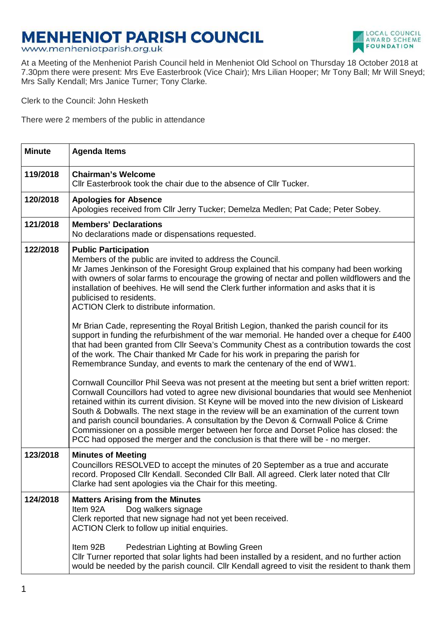## **MENHENIOT PARISH COUNCIL**

www.menheniotparish.org.uk



At a Meeting of the Menheniot Parish Council held in Menheniot Old School on Thursday 18 October 2018 at 7.30pm there were present: Mrs Eve Easterbrook (Vice Chair); Mrs Lilian Hooper; Mr Tony Ball; Mr Will Sneyd; Mrs Sally Kendall; Mrs Janice Turner; Tony Clarke.

Clerk to the Council: John Hesketh

There were 2 members of the public in attendance

| <b>Minute</b> | <b>Agenda Items</b>                                                                                                                                                                                                                                                                                                                                                                                                                                                                                                                                                                                                                                              |  |  |  |
|---------------|------------------------------------------------------------------------------------------------------------------------------------------------------------------------------------------------------------------------------------------------------------------------------------------------------------------------------------------------------------------------------------------------------------------------------------------------------------------------------------------------------------------------------------------------------------------------------------------------------------------------------------------------------------------|--|--|--|
| 119/2018      | <b>Chairman's Welcome</b><br>Cllr Easterbrook took the chair due to the absence of Cllr Tucker.                                                                                                                                                                                                                                                                                                                                                                                                                                                                                                                                                                  |  |  |  |
| 120/2018      | <b>Apologies for Absence</b><br>Apologies received from Cllr Jerry Tucker; Demelza Medlen; Pat Cade; Peter Sobey.                                                                                                                                                                                                                                                                                                                                                                                                                                                                                                                                                |  |  |  |
| 121/2018      | <b>Members' Declarations</b><br>No declarations made or dispensations requested.                                                                                                                                                                                                                                                                                                                                                                                                                                                                                                                                                                                 |  |  |  |
| 122/2018      | <b>Public Participation</b><br>Members of the public are invited to address the Council.<br>Mr James Jenkinson of the Foresight Group explained that his company had been working<br>with owners of solar farms to encourage the growing of nectar and pollen wildflowers and the<br>installation of beehives. He will send the Clerk further information and asks that it is<br>publicised to residents.<br><b>ACTION Clerk to distribute information.</b>                                                                                                                                                                                                      |  |  |  |
|               | Mr Brian Cade, representing the Royal British Legion, thanked the parish council for its<br>support in funding the refurbishment of the war memorial. He handed over a cheque for £400<br>that had been granted from Cllr Seeva's Community Chest as a contribution towards the cost<br>of the work. The Chair thanked Mr Cade for his work in preparing the parish for<br>Remembrance Sunday, and events to mark the centenary of the end of WW1.                                                                                                                                                                                                               |  |  |  |
|               | Cornwall Councillor Phil Seeva was not present at the meeting but sent a brief written report:<br>Cornwall Councillors had voted to agree new divisional boundaries that would see Menheniot<br>retained within its current division. St Keyne will be moved into the new division of Liskeard<br>South & Dobwalls. The next stage in the review will be an examination of the current town<br>and parish council boundaries. A consultation by the Devon & Cornwall Police & Crime<br>Commissioner on a possible merger between her force and Dorset Police has closed: the<br>PCC had opposed the merger and the conclusion is that there will be - no merger. |  |  |  |
| 123/2018      | <b>Minutes of Meeting</b><br>Councillors RESOLVED to accept the minutes of 20 September as a true and accurate<br>record. Proposed Cllr Kendall. Seconded Cllr Ball. All agreed. Clerk later noted that Cllr<br>Clarke had sent apologies via the Chair for this meeting.                                                                                                                                                                                                                                                                                                                                                                                        |  |  |  |
| 124/2018      | <b>Matters Arising from the Minutes</b><br>Dog walkers signage<br>Item 92A<br>Clerk reported that new signage had not yet been received.<br>ACTION Clerk to follow up initial enquiries.<br>Item 92B<br>Pedestrian Lighting at Bowling Green<br>Cllr Turner reported that solar lights had been installed by a resident, and no further action                                                                                                                                                                                                                                                                                                                   |  |  |  |
|               | would be needed by the parish council. Cllr Kendall agreed to visit the resident to thank them                                                                                                                                                                                                                                                                                                                                                                                                                                                                                                                                                                   |  |  |  |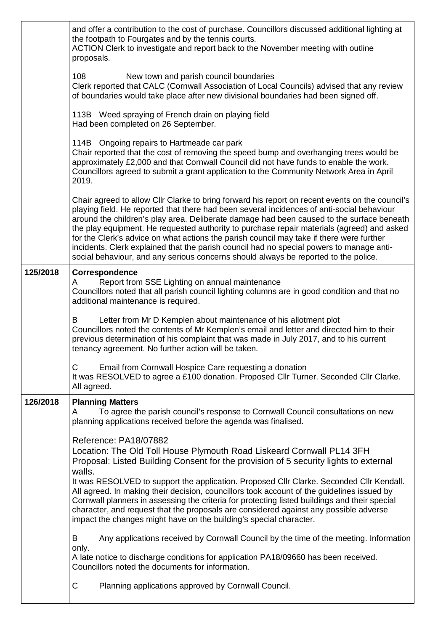|          | and offer a contribution to the cost of purchase. Councillors discussed additional lighting at<br>the footpath to Fourgates and by the tennis courts.<br>ACTION Clerk to investigate and report back to the November meeting with outline<br>proposals.                                                                                                                                                                                                                                                                                                                                                                                                                 |  |  |  |  |  |
|----------|-------------------------------------------------------------------------------------------------------------------------------------------------------------------------------------------------------------------------------------------------------------------------------------------------------------------------------------------------------------------------------------------------------------------------------------------------------------------------------------------------------------------------------------------------------------------------------------------------------------------------------------------------------------------------|--|--|--|--|--|
|          | 108<br>New town and parish council boundaries<br>Clerk reported that CALC (Cornwall Association of Local Councils) advised that any review<br>of boundaries would take place after new divisional boundaries had been signed off.                                                                                                                                                                                                                                                                                                                                                                                                                                       |  |  |  |  |  |
|          | 113B Weed spraying of French drain on playing field<br>Had been completed on 26 September.                                                                                                                                                                                                                                                                                                                                                                                                                                                                                                                                                                              |  |  |  |  |  |
|          | 114B Ongoing repairs to Hartmeade car park<br>Chair reported that the cost of removing the speed bump and overhanging trees would be<br>approximately £2,000 and that Cornwall Council did not have funds to enable the work.<br>Councillors agreed to submit a grant application to the Community Network Area in April<br>2019.                                                                                                                                                                                                                                                                                                                                       |  |  |  |  |  |
|          | Chair agreed to allow Cllr Clarke to bring forward his report on recent events on the council's<br>playing field. He reported that there had been several incidences of anti-social behaviour<br>around the children's play area. Deliberate damage had been caused to the surface beneath<br>the play equipment. He requested authority to purchase repair materials (agreed) and asked<br>for the Clerk's advice on what actions the parish council may take if there were further<br>incidents. Clerk explained that the parish council had no special powers to manage anti-<br>social behaviour, and any serious concerns should always be reported to the police. |  |  |  |  |  |
| 125/2018 | Correspondence<br>Report from SSE Lighting on annual maintenance<br>A<br>Councillors noted that all parish council lighting columns are in good condition and that no<br>additional maintenance is required.                                                                                                                                                                                                                                                                                                                                                                                                                                                            |  |  |  |  |  |
|          | Letter from Mr D Kemplen about maintenance of his allotment plot<br>B<br>Councillors noted the contents of Mr Kemplen's email and letter and directed him to their<br>previous determination of his complaint that was made in July 2017, and to his current<br>tenancy agreement. No further action will be taken.                                                                                                                                                                                                                                                                                                                                                     |  |  |  |  |  |
|          | С<br>Email from Cornwall Hospice Care requesting a donation<br>It was RESOLVED to agree a £100 donation. Proposed Cllr Turner. Seconded Cllr Clarke.<br>All agreed.                                                                                                                                                                                                                                                                                                                                                                                                                                                                                                     |  |  |  |  |  |
| 126/2018 | <b>Planning Matters</b><br>To agree the parish council's response to Cornwall Council consultations on new<br>A<br>planning applications received before the agenda was finalised.                                                                                                                                                                                                                                                                                                                                                                                                                                                                                      |  |  |  |  |  |
|          | Reference: PA18/07882<br>Location: The Old Toll House Plymouth Road Liskeard Cornwall PL14 3FH<br>Proposal: Listed Building Consent for the provision of 5 security lights to external<br>walls.                                                                                                                                                                                                                                                                                                                                                                                                                                                                        |  |  |  |  |  |
|          | It was RESOLVED to support the application. Proposed Cllr Clarke. Seconded Cllr Kendall.<br>All agreed. In making their decision, councillors took account of the guidelines issued by<br>Cornwall planners in assessing the criteria for protecting listed buildings and their special<br>character, and request that the proposals are considered against any possible adverse<br>impact the changes might have on the building's special character.                                                                                                                                                                                                                  |  |  |  |  |  |
|          | B<br>Any applications received by Cornwall Council by the time of the meeting. Information<br>only.                                                                                                                                                                                                                                                                                                                                                                                                                                                                                                                                                                     |  |  |  |  |  |
|          | A late notice to discharge conditions for application PA18/09660 has been received.<br>Councillors noted the documents for information.                                                                                                                                                                                                                                                                                                                                                                                                                                                                                                                                 |  |  |  |  |  |
|          | С<br>Planning applications approved by Cornwall Council.                                                                                                                                                                                                                                                                                                                                                                                                                                                                                                                                                                                                                |  |  |  |  |  |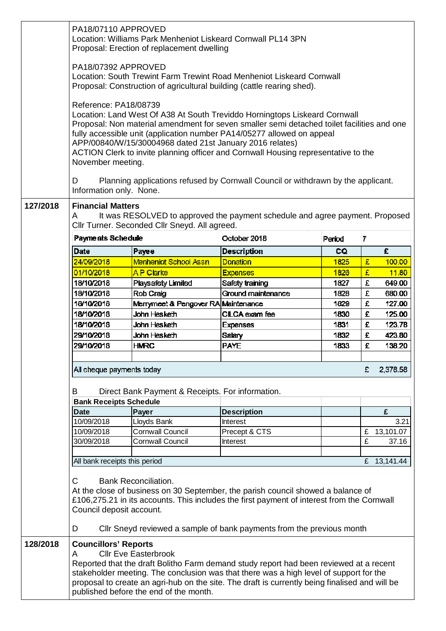|          | PA18/07110 APPROVED<br>Location: Williams Park Menheniot Liskeard Cornwall PL14 3PN<br>Proposal: Erection of replacement dwelling                                                                                                                                                                                                                                                                                                                  |                                     |                                |        |   |             |  |  |
|----------|----------------------------------------------------------------------------------------------------------------------------------------------------------------------------------------------------------------------------------------------------------------------------------------------------------------------------------------------------------------------------------------------------------------------------------------------------|-------------------------------------|--------------------------------|--------|---|-------------|--|--|
|          | PA18/07392 APPROVED<br>Location: South Trewint Farm Trewint Road Menheniot Liskeard Cornwall<br>Proposal: Construction of agricultural building (cattle rearing shed).                                                                                                                                                                                                                                                                             |                                     |                                |        |   |             |  |  |
|          | Reference: PA18/08739<br>Location: Land West Of A38 At South Treviddo Horningtops Liskeard Cornwall<br>Proposal: Non material amendment for seven smaller semi detached toilet facilities and one<br>fully accessible unit (application number PA14/05277 allowed on appeal<br>APP/00840/W/15/30004968 dated 21st January 2016 relates)<br>ACTION Clerk to invite planning officer and Cornwall Housing representative to the<br>November meeting. |                                     |                                |        |   |             |  |  |
|          | D<br>Planning applications refused by Cornwall Council or withdrawn by the applicant.<br>Information only. None.                                                                                                                                                                                                                                                                                                                                   |                                     |                                |        |   |             |  |  |
| 127/2018 | <b>Financial Matters</b><br>It was RESOLVED to approved the payment schedule and agree payment. Proposed<br>A<br>Cllr Turner. Seconded Cllr Sneyd. All agreed.                                                                                                                                                                                                                                                                                     |                                     |                                |        |   |             |  |  |
|          | Payments Schedule                                                                                                                                                                                                                                                                                                                                                                                                                                  |                                     | October 2018                   | Period | 7 |             |  |  |
|          | Date                                                                                                                                                                                                                                                                                                                                                                                                                                               | Payee                               | <b>Description</b>             | CQ     |   | £           |  |  |
|          | 24/09/2018                                                                                                                                                                                                                                                                                                                                                                                                                                         | Menheniot School Assn               | Donation                       | 1825   | £ | 100.00      |  |  |
|          | 01/10/2018                                                                                                                                                                                                                                                                                                                                                                                                                                         | AP Clarke                           | <b>Expenses</b>                | 1826   | £ | 11.80       |  |  |
|          | 18/10/2018                                                                                                                                                                                                                                                                                                                                                                                                                                         | <b>Playsafety Limited</b>           | Safety training                | 1827   | £ | 649.00      |  |  |
|          | 18/10/2018                                                                                                                                                                                                                                                                                                                                                                                                                                         | Rob Craig                           | Ground maintenance             | 1828   | £ | 680.00      |  |  |
|          | 18/10/2018                                                                                                                                                                                                                                                                                                                                                                                                                                         | Merrymeet & Pengover RA Maintenance |                                | 1829   | £ | 127.00      |  |  |
|          | 18/10/2018                                                                                                                                                                                                                                                                                                                                                                                                                                         | John Hesketh                        | CILCA exam fee                 | 1830   | £ | 125.00      |  |  |
|          | 18/10/2018                                                                                                                                                                                                                                                                                                                                                                                                                                         | John Hesketh                        | <b>Expenses</b>                | 1831   | £ | 123.78      |  |  |
|          | 29/10/2018                                                                                                                                                                                                                                                                                                                                                                                                                                         | John Hesketh                        | <b>Salary</b>                  | 1832   | £ | 423.80      |  |  |
|          | 29/10/2018                                                                                                                                                                                                                                                                                                                                                                                                                                         | <b>HMRC</b>                         | <b>PAYE</b>                    | 1833   | £ | 138.20      |  |  |
|          |                                                                                                                                                                                                                                                                                                                                                                                                                                                    |                                     |                                |        |   |             |  |  |
|          | All cheque payments today<br>£<br>2,378.58                                                                                                                                                                                                                                                                                                                                                                                                         |                                     |                                |        |   |             |  |  |
|          | B<br>Direct Bank Payment & Receipts. For information.<br><b>Bank Receipts Schedule</b>                                                                                                                                                                                                                                                                                                                                                             |                                     |                                |        |   |             |  |  |
|          |                                                                                                                                                                                                                                                                                                                                                                                                                                                    |                                     |                                |        |   |             |  |  |
|          | <b>Date</b><br>10/09/2018                                                                                                                                                                                                                                                                                                                                                                                                                          | Payer<br>Lloyds Bank                | <b>Description</b><br>Interest |        |   | £<br>3.21   |  |  |
|          | 10/09/2018                                                                                                                                                                                                                                                                                                                                                                                                                                         | <b>Cornwall Council</b>             | Precept & CTS                  |        | £ | 13,101.07   |  |  |
|          | 30/09/2018                                                                                                                                                                                                                                                                                                                                                                                                                                         | <b>Cornwall Council</b>             | Interest                       |        | £ | 37.16       |  |  |
|          |                                                                                                                                                                                                                                                                                                                                                                                                                                                    |                                     |                                |        |   |             |  |  |
|          | All bank receipts this period                                                                                                                                                                                                                                                                                                                                                                                                                      |                                     |                                |        |   | £ 13,141.44 |  |  |
|          | $\mathsf{C}$<br><b>Bank Reconciliation.</b><br>At the close of business on 30 September, the parish council showed a balance of<br>£106,275.21 in its accounts. This includes the first payment of interest from the Cornwall<br>Council deposit account.<br>D<br>Cllr Sneyd reviewed a sample of bank payments from the previous month                                                                                                            |                                     |                                |        |   |             |  |  |
|          |                                                                                                                                                                                                                                                                                                                                                                                                                                                    |                                     |                                |        |   |             |  |  |
| 128/2018 | <b>Councillors' Reports</b><br><b>Cllr Eve Easterbrook</b><br>A<br>Reported that the draft Bolitho Farm demand study report had been reviewed at a recent<br>stakeholder meeting. The conclusion was that there was a high level of support for the<br>proposal to create an agri-hub on the site. The draft is currently being finalised and will be<br>published before the end of the month.                                                    |                                     |                                |        |   |             |  |  |